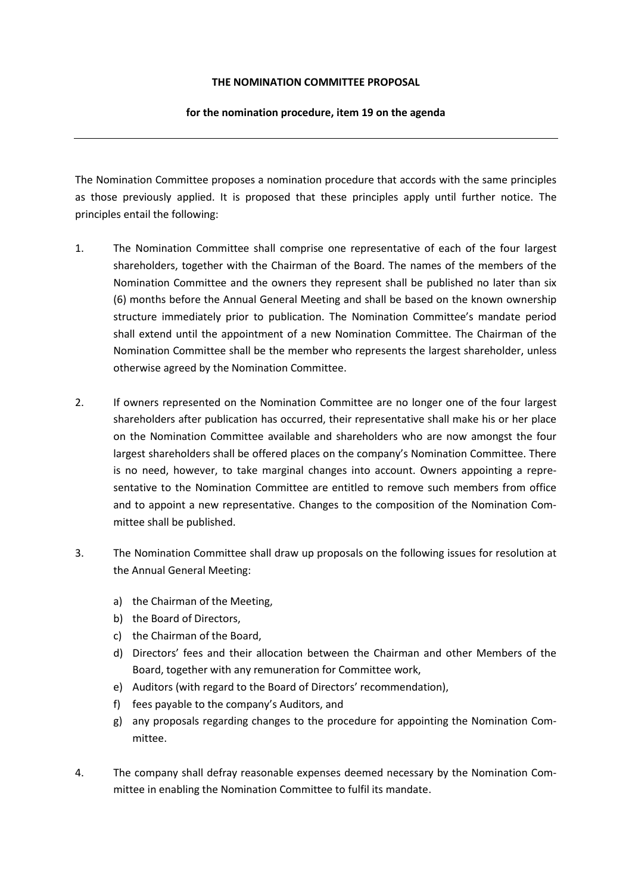## **THE NOMINATION COMMITTEE PROPOSAL**

## **for the nomination procedure, item 19 on the agenda**

The Nomination Committee proposes a nomination procedure that accords with the same principles as those previously applied. It is proposed that these principles apply until further notice. The principles entail the following:

- 1. The Nomination Committee shall comprise one representative of each of the four largest shareholders, together with the Chairman of the Board. The names of the members of the Nomination Committee and the owners they represent shall be published no later than six (6) months before the Annual General Meeting and shall be based on the known ownership structure immediately prior to publication. The Nomination Committee's mandate period shall extend until the appointment of a new Nomination Committee. The Chairman of the Nomination Committee shall be the member who represents the largest shareholder, unless otherwise agreed by the Nomination Committee.
- 2. If owners represented on the Nomination Committee are no longer one of the four largest shareholders after publication has occurred, their representative shall make his or her place on the Nomination Committee available and shareholders who are now amongst the four largest shareholders shall be offered places on the company's Nomination Committee. There is no need, however, to take marginal changes into account. Owners appointing a representative to the Nomination Committee are entitled to remove such members from office and to appoint a new representative. Changes to the composition of the Nomination Committee shall be published.
- 3. The Nomination Committee shall draw up proposals on the following issues for resolution at the Annual General Meeting:
	- a) the Chairman of the Meeting,
	- b) the Board of Directors,
	- c) the Chairman of the Board,
	- d) Directors' fees and their allocation between the Chairman and other Members of the Board, together with any remuneration for Committee work,
	- e) Auditors (with regard to the Board of Directors' recommendation),
	- f) fees payable to the company's Auditors, and
	- g) any proposals regarding changes to the procedure for appointing the Nomination Committee.
- 4. The company shall defray reasonable expenses deemed necessary by the Nomination Committee in enabling the Nomination Committee to fulfil its mandate.